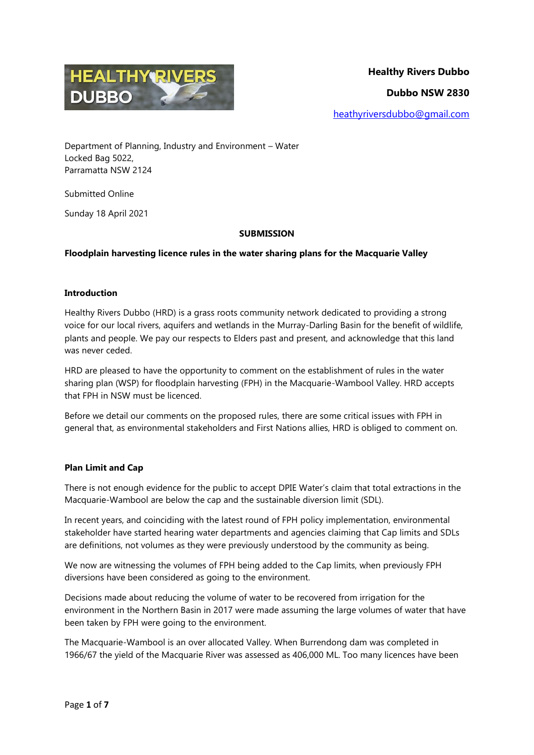

Department of Planning, Industry and Environment – Water Locked Bag 5022, Parramatta NSW 2124

Submitted Online

Sunday 18 April 2021

# **SUBMISSION**

# **Floodplain harvesting licence rules in the water sharing plans for the Macquarie Valley**

## **Introduction**

Healthy Rivers Dubbo (HRD) is a grass roots community network dedicated to providing a strong voice for our local rivers, aquifers and wetlands in the Murray-Darling Basin for the benefit of wildlife, plants and people. We pay our respects to Elders past and present, and acknowledge that this land was never ceded.

HRD are pleased to have the opportunity to comment on the establishment of rules in the water sharing plan (WSP) for floodplain harvesting (FPH) in the Macquarie-Wambool Valley. HRD accepts that FPH in NSW must be licenced.

Before we detail our comments on the proposed rules, there are some critical issues with FPH in general that, as environmental stakeholders and First Nations allies, HRD is obliged to comment on.

## **Plan Limit and Cap**

There is not enough evidence for the public to accept DPIE Water's claim that total extractions in the Macquarie-Wambool are below the cap and the sustainable diversion limit (SDL).

In recent years, and coinciding with the latest round of FPH policy implementation, environmental stakeholder have started hearing water departments and agencies claiming that Cap limits and SDLs are definitions, not volumes as they were previously understood by the community as being.

We now are witnessing the volumes of FPH being added to the Cap limits, when previously FPH diversions have been considered as going to the environment.

Decisions made about reducing the volume of water to be recovered from irrigation for the environment in the Northern Basin in 2017 were made assuming the large volumes of water that have been taken by FPH were going to the environment.

The Macquarie-Wambool is an over allocated Valley. When Burrendong dam was completed in 1966/67 the yield of the Macquarie River was assessed as 406,000 ML. Too many licences have been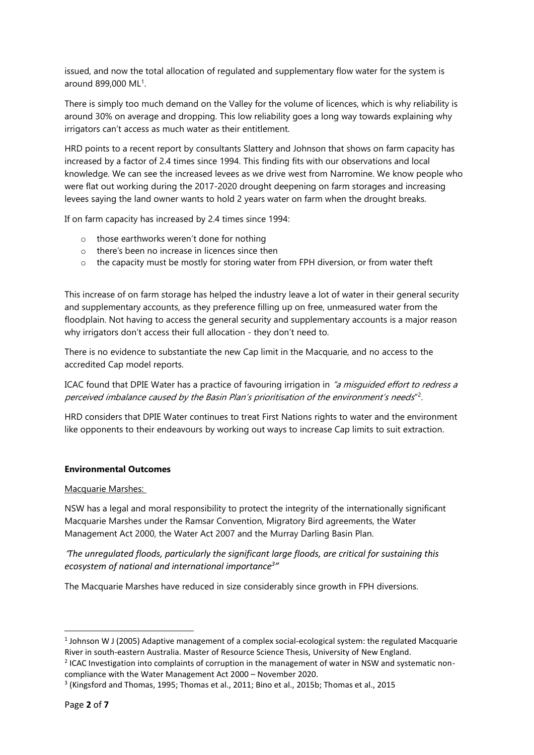issued, and now the total allocation of regulated and supplementary flow water for the system is around 899,000 ML<sup>1</sup>.

There is simply too much demand on the Valley for the volume of licences, which is why reliability is around 30% on average and dropping. This low reliability goes a long way towards explaining why irrigators can't access as much water as their entitlement.

HRD points to a recent report by consultants Slattery and Johnson that shows on farm capacity has increased by a factor of 2.4 times since 1994. This finding fits with our observations and local knowledge. We can see the increased levees as we drive west from Narromine. We know people who were flat out working during the 2017-2020 drought deepening on farm storages and increasing levees saying the land owner wants to hold 2 years water on farm when the drought breaks.

If on farm capacity has increased by 2.4 times since 1994:

- o those earthworks weren't done for nothing
- o there's been no increase in licences since then
- $\circ$  the capacity must be mostly for storing water from FPH diversion, or from water theft

This increase of on farm storage has helped the industry leave a lot of water in their general security and supplementary accounts, as they preference filling up on free, unmeasured water from the floodplain. Not having to access the general security and supplementary accounts is a major reason why irrigators don't access their full allocation - they don't need to.

There is no evidence to substantiate the new Cap limit in the Macquarie, and no access to the accredited Cap model reports.

ICAC found that DPIE Water has a practice of favouring irrigation in "a misquided effort to redress a perceived imbalance caused by the Basin Plan's prioritisation of the environment's needs"<sup>2</sup>.

HRD considers that DPIE Water continues to treat First Nations rights to water and the environment like opponents to their endeavours by working out ways to increase Cap limits to suit extraction.

## **Environmental Outcomes**

## Macquarie Marshes:

NSW has a legal and moral responsibility to protect the integrity of the internationally significant Macquarie Marshes under the Ramsar Convention, Migratory Bird agreements, the Water Management Act 2000, the Water Act 2007 and the Murray Darling Basin Plan.

"*The unregulated floods, particularly the significant large floods, are critical for sustaining this ecosystem of national and international importance<sup>3</sup> "*

The Macquarie Marshes have reduced in size considerably since growth in FPH diversions.

 $\overline{a}$ 

 $<sup>1</sup>$  Johnson W J (2005) Adaptive management of a complex social-ecological system: the regulated Macquarie</sup> River in south-eastern Australia. Master of Resource Science Thesis, University of New England.

<sup>&</sup>lt;sup>2</sup> ICAC Investigation into complaints of corruption in the management of water in NSW and systematic noncompliance with the Water Management Act 2000 – November 2020.

<sup>3</sup> (Kingsford and Thomas, 1995; Thomas et al., 2011; Bino et al., 2015b; Thomas et al., 2015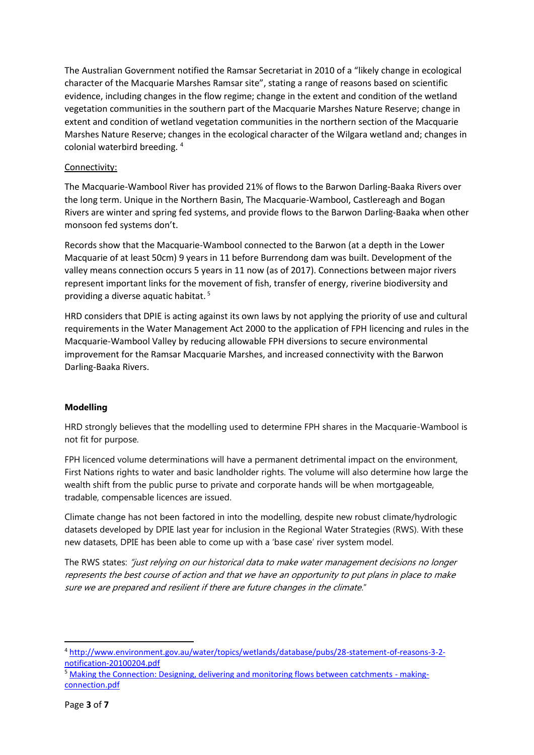The Australian Government notified the Ramsar Secretariat in 2010 of a "likely change in ecological character of the Macquarie Marshes Ramsar site", stating a range of reasons based on scientific evidence, including changes in the flow regime; change in the extent and condition of the wetland vegetation communities in the southern part of the Macquarie Marshes Nature Reserve; change in extent and condition of wetland vegetation communities in the northern section of the Macquarie Marshes Nature Reserve; changes in the ecological character of the Wilgara wetland and; changes in colonial waterbird breeding. <sup>4</sup>

# Connectivity:

The Macquarie-Wambool River has provided 21% of flows to the Barwon Darling-Baaka Rivers over the long term. Unique in the Northern Basin, The Macquarie-Wambool, Castlereagh and Bogan Rivers are winter and spring fed systems, and provide flows to the Barwon Darling-Baaka when other monsoon fed systems don't.

Records show that the Macquarie-Wambool connected to the Barwon (at a depth in the Lower Macquarie of at least 50cm) 9 years in 11 before Burrendong dam was built. Development of the valley means connection occurs 5 years in 11 now (as of 2017). Connections between major rivers represent important links for the movement of fish, transfer of energy, riverine biodiversity and providing a diverse aquatic habitat. <sup>5</sup>

HRD considers that DPIE is acting against its own laws by not applying the priority of use and cultural requirements in the Water Management Act 2000 to the application of FPH licencing and rules in the Macquarie-Wambool Valley by reducing allowable FPH diversions to secure environmental improvement for the Ramsar Macquarie Marshes, and increased connectivity with the Barwon Darling-Baaka Rivers.

## **Modelling**

HRD strongly believes that the modelling used to determine FPH shares in the Macquarie-Wambool is not fit for purpose.

FPH licenced volume determinations will have a permanent detrimental impact on the environment, First Nations rights to water and basic landholder rights. The volume will also determine how large the wealth shift from the public purse to private and corporate hands will be when mortgageable, tradable, compensable licences are issued.

Climate change has not been factored in into the modelling, despite new robust climate/hydrologic datasets developed by DPIE last year for inclusion in the Regional Water Strategies (RWS). With these new datasets, DPIE has been able to come up with a 'base case' river system model.

The RWS states: "just relying on our historical data to make water management decisions no longer represents the best course of action and that we have an opportunity to put plans in place to make sure we are prepared and resilient if there are future changes in the climate."

**.** 

<sup>4</sup> [http://www.environment.gov.au/water/topics/wetlands/database/pubs/28-statement-of-reasons-3-2](http://www.environment.gov.au/water/topics/wetlands/database/pubs/28-statement-of-reasons-3-2-notification-20100204.pdf) [notification-20100204.pdf](http://www.environment.gov.au/water/topics/wetlands/database/pubs/28-statement-of-reasons-3-2-notification-20100204.pdf)

<sup>&</sup>lt;sup>5</sup> [Making the Connection: Designing, delivering and monitoring flows between catchments -](http://www.environment.gov.au/system/files/resources/8eb107d9-e640-41b5-b58e-1d6bda3cbf1a/files/making-connection.pdf) making[connection.pdf](http://www.environment.gov.au/system/files/resources/8eb107d9-e640-41b5-b58e-1d6bda3cbf1a/files/making-connection.pdf)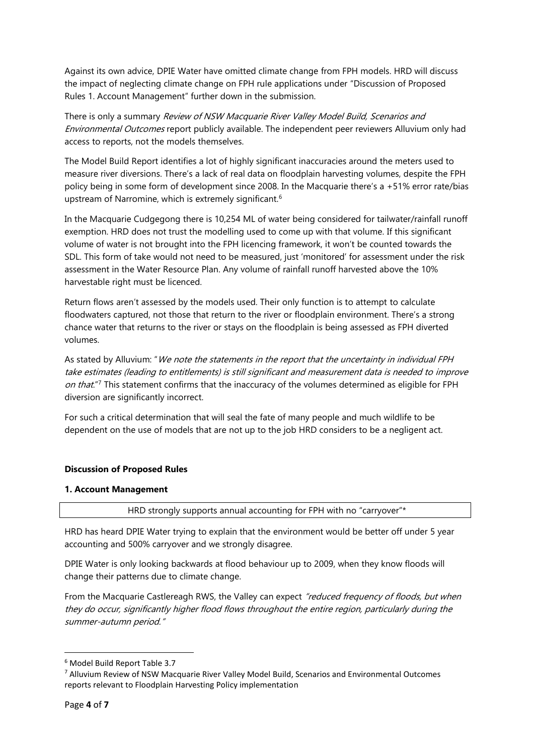Against its own advice, DPIE Water have omitted climate change from FPH models. HRD will discuss the impact of neglecting climate change on FPH rule applications under "Discussion of Proposed Rules 1. Account Management" further down in the submission.

There is only a summary Review of NSW Macquarie River Valley Model Build, Scenarios and Environmental Outcomes report publicly available. The independent peer reviewers Alluvium only had access to reports, not the models themselves.

The Model Build Report identifies a lot of highly significant inaccuracies around the meters used to measure river diversions. There's a lack of real data on floodplain harvesting volumes, despite the FPH policy being in some form of development since 2008. In the Macquarie there's a +51% error rate/bias upstream of Narromine, which is extremely significant.<sup>6</sup>

In the Macquarie Cudgegong there is 10,254 ML of water being considered for tailwater/rainfall runoff exemption. HRD does not trust the modelling used to come up with that volume. If this significant volume of water is not brought into the FPH licencing framework, it won't be counted towards the SDL. This form of take would not need to be measured, just 'monitored' for assessment under the risk assessment in the Water Resource Plan. Any volume of rainfall runoff harvested above the 10% harvestable right must be licenced.

Return flows aren't assessed by the models used. Their only function is to attempt to calculate floodwaters captured, not those that return to the river or floodplain environment. There's a strong chance water that returns to the river or stays on the floodplain is being assessed as FPH diverted volumes.

As stated by Alluvium: "We note the statements in the report that the uncertainty in individual FPH take estimates (leading to entitlements) is still significant and measurement data is needed to improve on that."<sup>7</sup> This statement confirms that the inaccuracy of the volumes determined as eligible for FPH diversion are significantly incorrect.

For such a critical determination that will seal the fate of many people and much wildlife to be dependent on the use of models that are not up to the job HRD considers to be a negligent act.

## **Discussion of Proposed Rules**

## **1. Account Management**

HRD strongly supports annual accounting for FPH with no "carryover"\*

HRD has heard DPIE Water trying to explain that the environment would be better off under 5 year accounting and 500% carryover and we strongly disagree.

DPIE Water is only looking backwards at flood behaviour up to 2009, when they know floods will change their patterns due to climate change.

From the Macquarie Castlereagh RWS, the Valley can expect "reduced frequency of floods, but when they do occur, significantly higher flood flows throughout the entire region, particularly during the summer-autumn period."

**.** 

<sup>6</sup> Model Build Report Table 3.7

<sup>7</sup> Alluvium Review of NSW Macquarie River Valley Model Build, Scenarios and Environmental Outcomes reports relevant to Floodplain Harvesting Policy implementation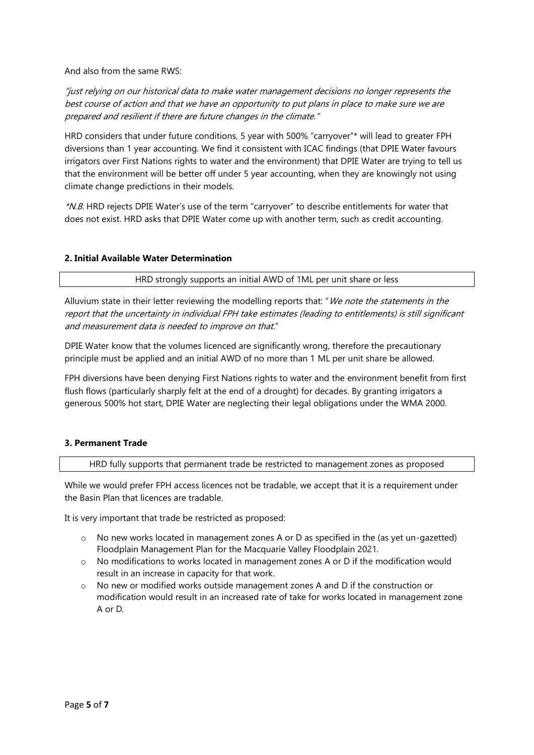And also from the same RWS:

"just relying on our historical data to make water management decisions no longer represents the best course of action and that we have an opportunity to put plans in place to make sure we are prepared and resilient if there are future changes in the climate."

HRD considers that under future conditions, 5 year with 500% "carryover"\* will lead to greater FPH diversions than 1 year accounting. We find it consistent with ICAC findings (that DPIE Water favours irrigators over First Nations rights to water and the environment) that DPIE Water are trying to tell us that the environment will be better off under 5 year accounting, when they are knowingly not using climate change predictions in their models.

\*N.B. HRD rejects DPIE Water's use of the term "carryover" to describe entitlements for water that does not exist. HRD asks that DPIE Water come up with another term, such as credit accounting.

#### **2. Initial Available Water Determination**

HRD strongly supports an initial AWD of 1ML per unit share or less

Alluvium state in their letter reviewing the modelling reports that: "We note the statements in the report that the uncertainty in individual FPH take estimates (leading to entitlements) is still significant and measurement data is needed to improve on that."

DPIE Water know that the volumes licenced are significantly wrong, therefore the precautionary principle must be applied and an initial AWD of no more than 1 ML per unit share be allowed.

FPH diversions have been denying First Nations rights to water and the environment benefit from first flush flows (particularly sharply felt at the end of a drought) for decades. By granting irrigators a generous 500% hot start, DPIE Water are neglecting their legal obligations under the WMA 2000.

#### **3. Permanent Trade**

HRD fully supports that permanent trade be restricted to management zones as proposed

While we would prefer FPH access licences not be tradable, we accept that it is a requirement under the Basin Plan that licences are tradable.

It is very important that trade be restricted as proposed:

- o No new works located in management zones A or D as specified in the (as yet un-gazetted) Floodplain Management Plan for the Macquarie Valley Floodplain 2021.
- o No modifications to works located in management zones A or D if the modification would result in an increase in capacity for that work.
- o No new or modified works outside management zones A and D if the construction or modification would result in an increased rate of take for works located in management zone A or D.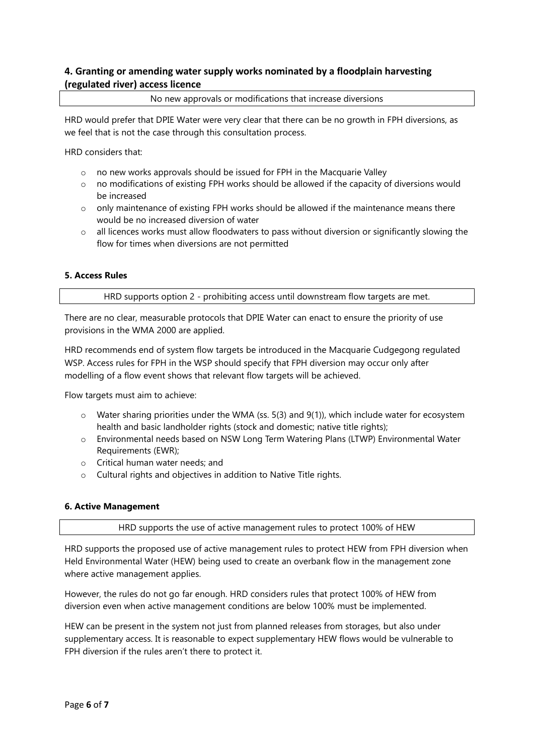# **4. Granting or amending water supply works nominated by a floodplain harvesting (regulated river) access licence**

No new approvals or modifications that increase diversions

HRD would prefer that DPIE Water were very clear that there can be no growth in FPH diversions, as we feel that is not the case through this consultation process.

HRD considers that:

- o no new works approvals should be issued for FPH in the Macquarie Valley
- $\circ$  no modifications of existing FPH works should be allowed if the capacity of diversions would be increased
- $\circ$  only maintenance of existing FPH works should be allowed if the maintenance means there would be no increased diversion of water
- $\circ$  all licences works must allow floodwaters to pass without diversion or significantly slowing the flow for times when diversions are not permitted

# **5. Access Rules**

HRD supports option 2 - prohibiting access until downstream flow targets are met.

There are no clear, measurable protocols that DPIE Water can enact to ensure the priority of use provisions in the WMA 2000 are applied.

HRD recommends end of system flow targets be introduced in the Macquarie Cudgegong regulated WSP. Access rules for FPH in the WSP should specify that FPH diversion may occur only after modelling of a flow event shows that relevant flow targets will be achieved.

Flow targets must aim to achieve:

- o Water sharing priorities under the WMA (ss. 5(3) and 9(1)), which include water for ecosystem health and basic landholder rights (stock and domestic; native title rights);
- o Environmental needs based on NSW Long Term Watering Plans (LTWP) Environmental Water Requirements (EWR);
- o Critical human water needs; and
- o Cultural rights and objectives in addition to Native Title rights.

## **6. Active Management**

HRD supports the use of active management rules to protect 100% of HEW

HRD supports the proposed use of active management rules to protect HEW from FPH diversion when Held Environmental Water (HEW) being used to create an overbank flow in the management zone where active management applies.

However, the rules do not go far enough. HRD considers rules that protect 100% of HEW from diversion even when active management conditions are below 100% must be implemented.

HEW can be present in the system not just from planned releases from storages, but also under supplementary access. It is reasonable to expect supplementary HEW flows would be vulnerable to FPH diversion if the rules aren't there to protect it.